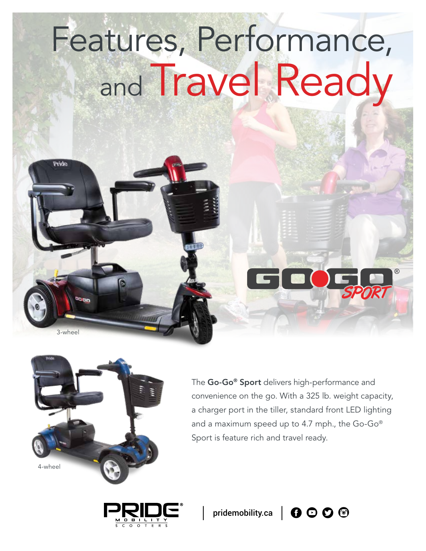## Features, Performance, and Travel Ready



 $3$ -whee

Pride

The Go-Go® Sport delivers high-performance and convenience on the go. With a 325 lb. weight capacity, a charger port in the tiller, standard front LED lighting and a maximum speed up to 4.7 mph., the Go-Go® Sport is feature rich and travel ready.





SPORT